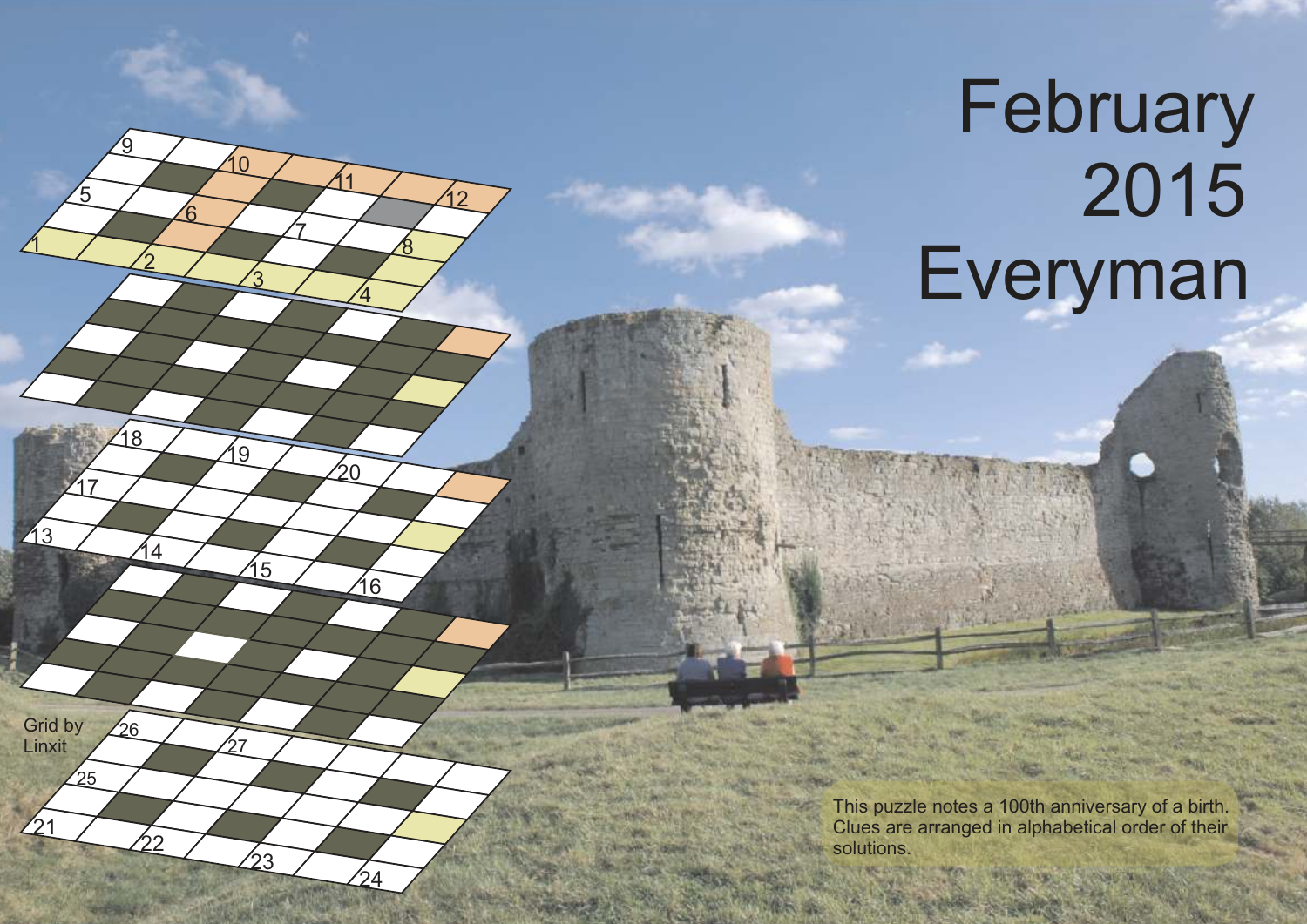## February 2015 Everyman

 $\mathfrak{1}$ 

213

 $21$ 

Grid by Linxit

25

17

5

2

14

22

 $26$ 

18

<u>ର</u>

6

<u>3</u>

15

23

27

 $\overline{Q}$ 

10

7

 $\overline{4}$ 

16

24

⁄ລດ

11

<u>8</u>

 $\overline{2}$ 

This puzzle notes a 100th anniversary of a birth. Clues are arranged in alphabetical order of their solutions.